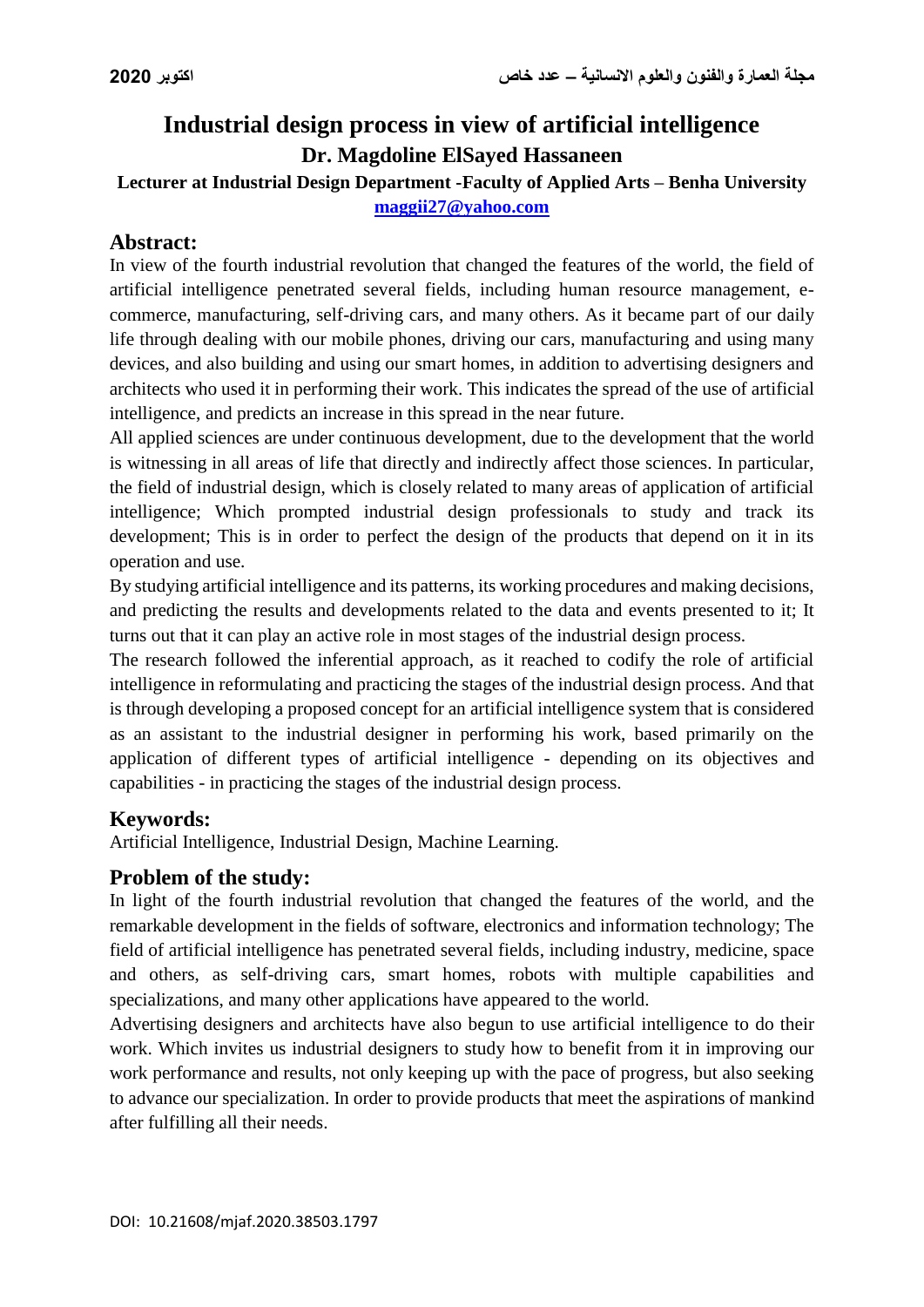# **Industrial design process in view of artificial intelligence Dr. Magdoline ElSayed Hassaneen**

# **Lecturer at Industrial Design Department -Faculty of Applied Arts – Benha University [maggii27@yahoo.com](mailto:maggii27@yahoo.com)**

# **Abstract:**

In view of the fourth industrial revolution that changed the features of the world, the field of artificial intelligence penetrated several fields, including human resource management, ecommerce, manufacturing, self-driving cars, and many others. As it became part of our daily life through dealing with our mobile phones, driving our cars, manufacturing and using many devices, and also building and using our smart homes, in addition to advertising designers and architects who used it in performing their work. This indicates the spread of the use of artificial intelligence, and predicts an increase in this spread in the near future.

All applied sciences are under continuous development, due to the development that the world is witnessing in all areas of life that directly and indirectly affect those sciences. In particular, the field of industrial design, which is closely related to many areas of application of artificial intelligence; Which prompted industrial design professionals to study and track its development; This is in order to perfect the design of the products that depend on it in its operation and use.

By studying artificial intelligence and its patterns, its working procedures and making decisions, and predicting the results and developments related to the data and events presented to it; It turns out that it can play an active role in most stages of the industrial design process.

The research followed the inferential approach, as it reached to codify the role of artificial intelligence in reformulating and practicing the stages of the industrial design process. And that is through developing a proposed concept for an artificial intelligence system that is considered as an assistant to the industrial designer in performing his work, based primarily on the application of different types of artificial intelligence - depending on its objectives and capabilities - in practicing the stages of the industrial design process.

#### **Keywords:**

Artificial Intelligence, Industrial Design, Machine Learning.

#### **Problem of the study:**

In light of the fourth industrial revolution that changed the features of the world, and the remarkable development in the fields of software, electronics and information technology; The field of artificial intelligence has penetrated several fields, including industry, medicine, space and others, as self-driving cars, smart homes, robots with multiple capabilities and specializations, and many other applications have appeared to the world.

Advertising designers and architects have also begun to use artificial intelligence to do their work. Which invites us industrial designers to study how to benefit from it in improving our work performance and results, not only keeping up with the pace of progress, but also seeking to advance our specialization. In order to provide products that meet the aspirations of mankind after fulfilling all their needs.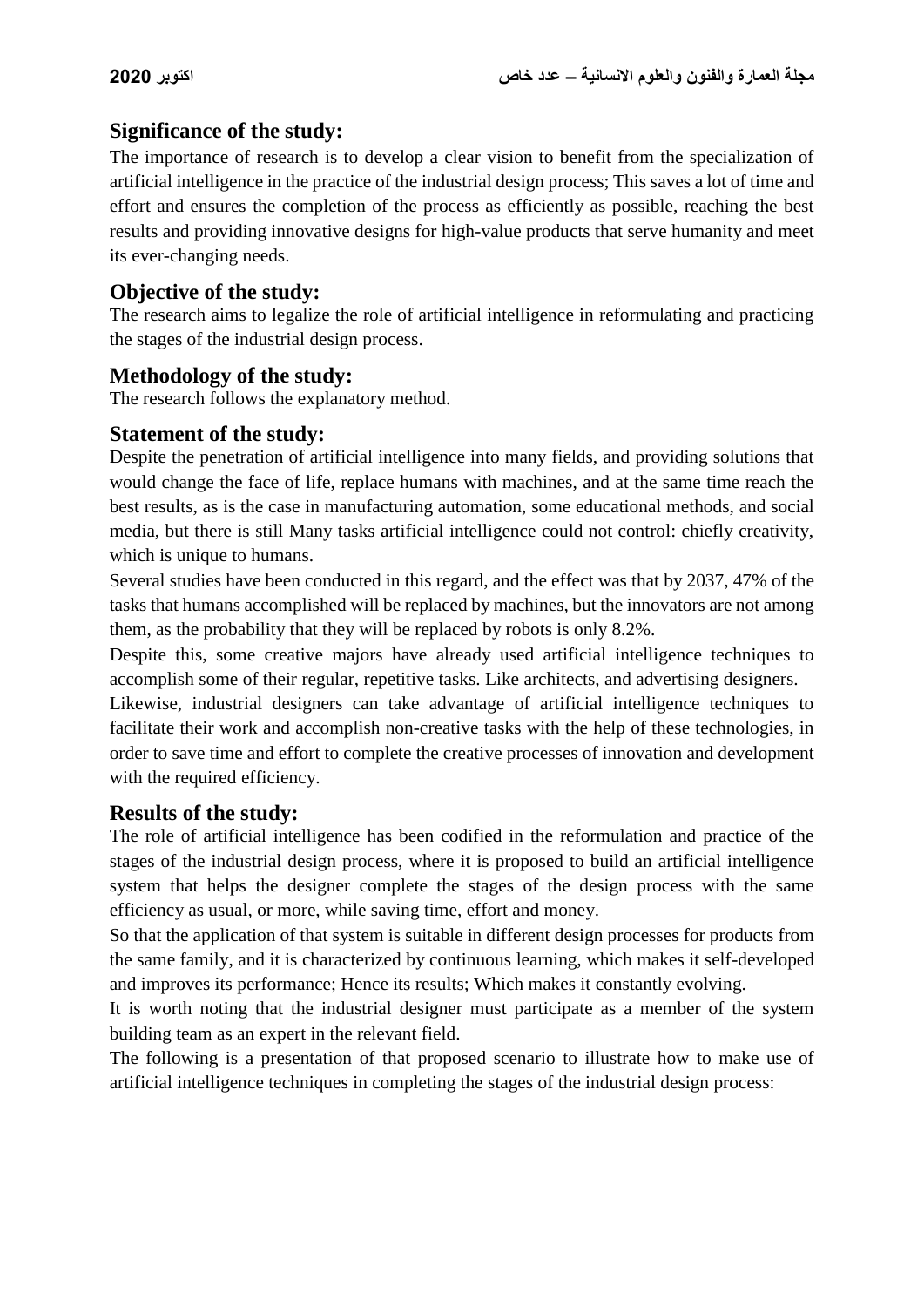# **Significance of the study:**

The importance of research is to develop a clear vision to benefit from the specialization of artificial intelligence in the practice of the industrial design process; This saves a lot of time and effort and ensures the completion of the process as efficiently as possible, reaching the best results and providing innovative designs for high-value products that serve humanity and meet its ever-changing needs.

# **Objective of the study:**

The research aims to legalize the role of artificial intelligence in reformulating and practicing the stages of the industrial design process.

# **Methodology of the study:**

The research follows the explanatory method.

#### **Statement of the study:**

Despite the penetration of artificial intelligence into many fields, and providing solutions that would change the face of life, replace humans with machines, and at the same time reach the best results, as is the case in manufacturing automation, some educational methods, and social media, but there is still Many tasks artificial intelligence could not control: chiefly creativity, which is unique to humans.

Several studies have been conducted in this regard, and the effect was that by 2037, 47% of the tasks that humans accomplished will be replaced by machines, but the innovators are not among them, as the probability that they will be replaced by robots is only 8.2%.

Despite this, some creative majors have already used artificial intelligence techniques to accomplish some of their regular, repetitive tasks. Like architects, and advertising designers.

Likewise, industrial designers can take advantage of artificial intelligence techniques to facilitate their work and accomplish non-creative tasks with the help of these technologies, in order to save time and effort to complete the creative processes of innovation and development with the required efficiency.

#### **Results of the study:**

The role of artificial intelligence has been codified in the reformulation and practice of the stages of the industrial design process, where it is proposed to build an artificial intelligence system that helps the designer complete the stages of the design process with the same efficiency as usual, or more, while saving time, effort and money.

So that the application of that system is suitable in different design processes for products from the same family, and it is characterized by continuous learning, which makes it self-developed and improves its performance; Hence its results; Which makes it constantly evolving.

It is worth noting that the industrial designer must participate as a member of the system building team as an expert in the relevant field.

The following is a presentation of that proposed scenario to illustrate how to make use of artificial intelligence techniques in completing the stages of the industrial design process: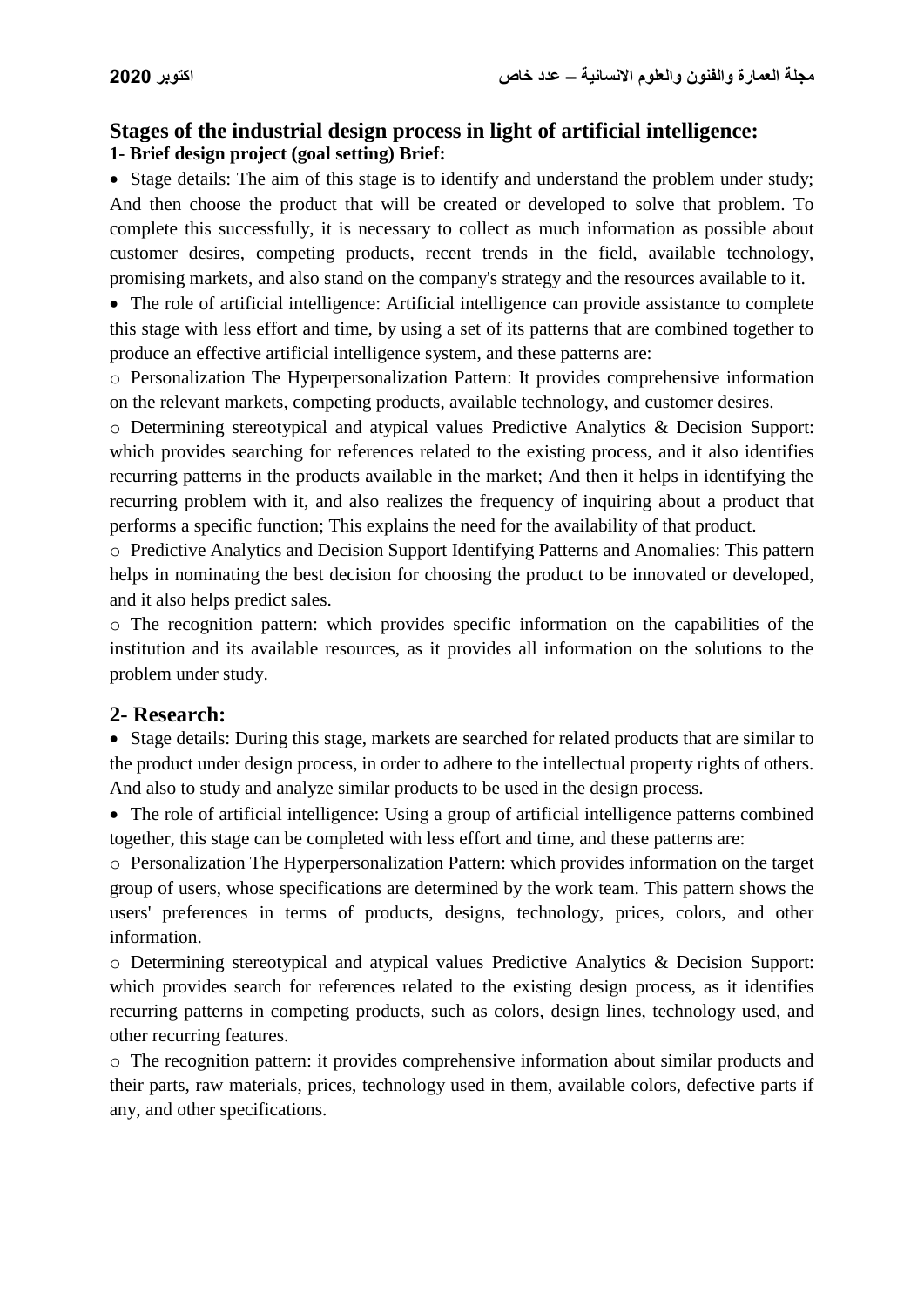# **Stages of the industrial design process in light of artificial intelligence: 1- Brief design project (goal setting) Brief:**

• Stage details: The aim of this stage is to identify and understand the problem under study; And then choose the product that will be created or developed to solve that problem. To complete this successfully, it is necessary to collect as much information as possible about customer desires, competing products, recent trends in the field, available technology, promising markets, and also stand on the company's strategy and the resources available to it.

 The role of artificial intelligence: Artificial intelligence can provide assistance to complete this stage with less effort and time, by using a set of its patterns that are combined together to produce an effective artificial intelligence system, and these patterns are:

o Personalization The Hyperpersonalization Pattern: It provides comprehensive information on the relevant markets, competing products, available technology, and customer desires.

o Determining stereotypical and atypical values Predictive Analytics & Decision Support: which provides searching for references related to the existing process, and it also identifies recurring patterns in the products available in the market; And then it helps in identifying the recurring problem with it, and also realizes the frequency of inquiring about a product that performs a specific function; This explains the need for the availability of that product.

o Predictive Analytics and Decision Support Identifying Patterns and Anomalies: This pattern helps in nominating the best decision for choosing the product to be innovated or developed, and it also helps predict sales.

o The recognition pattern: which provides specific information on the capabilities of the institution and its available resources, as it provides all information on the solutions to the problem under study.

#### **2- Research:**

• Stage details: During this stage, markets are searched for related products that are similar to the product under design process, in order to adhere to the intellectual property rights of others. And also to study and analyze similar products to be used in the design process.

 The role of artificial intelligence: Using a group of artificial intelligence patterns combined together, this stage can be completed with less effort and time, and these patterns are:

o Personalization The Hyperpersonalization Pattern: which provides information on the target group of users, whose specifications are determined by the work team. This pattern shows the users' preferences in terms of products, designs, technology, prices, colors, and other information.

o Determining stereotypical and atypical values Predictive Analytics & Decision Support: which provides search for references related to the existing design process, as it identifies recurring patterns in competing products, such as colors, design lines, technology used, and other recurring features.

o The recognition pattern: it provides comprehensive information about similar products and their parts, raw materials, prices, technology used in them, available colors, defective parts if any, and other specifications.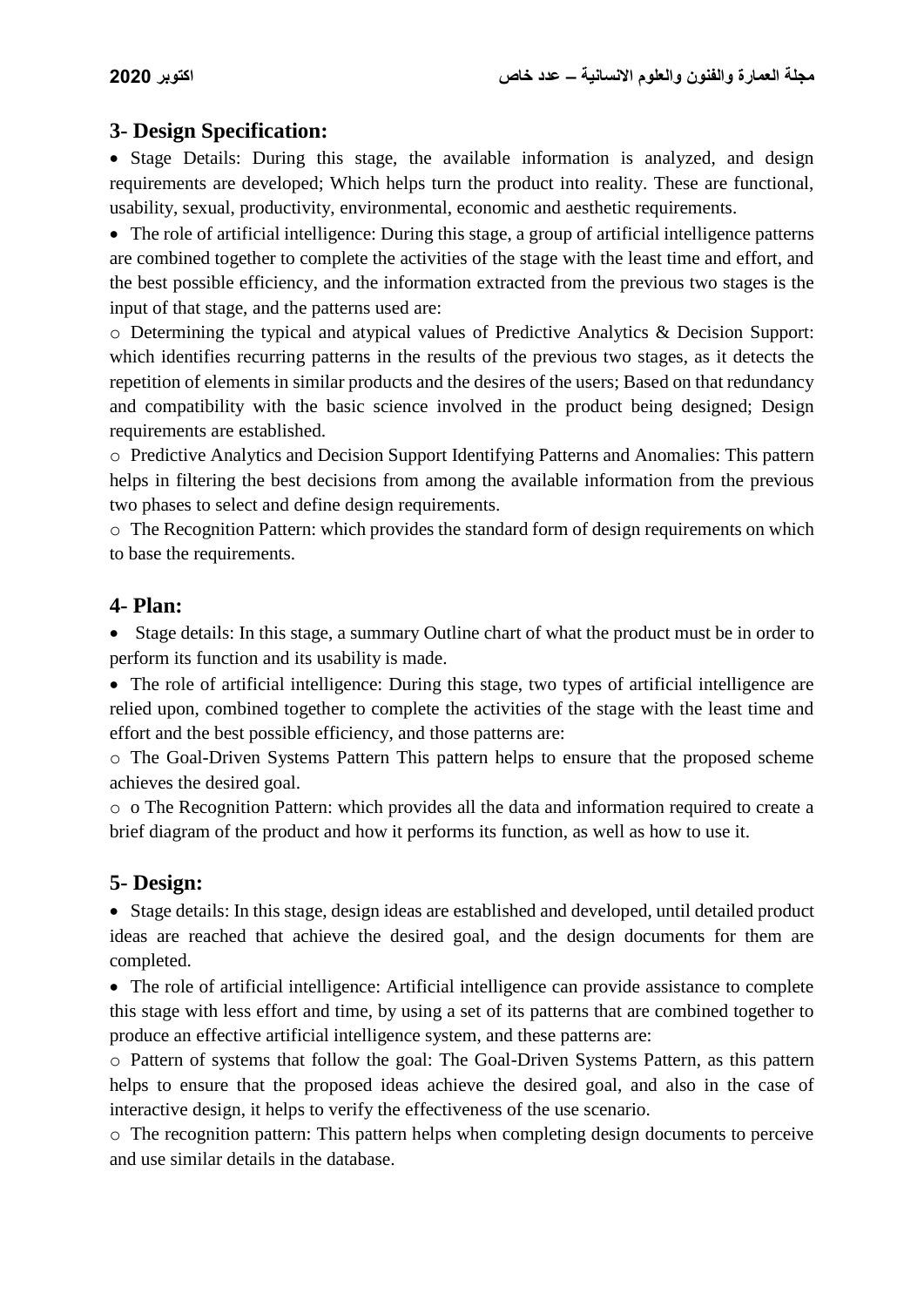# **3- Design Specification:**

 Stage Details: During this stage, the available information is analyzed, and design requirements are developed; Which helps turn the product into reality. These are functional, usability, sexual, productivity, environmental, economic and aesthetic requirements.

 The role of artificial intelligence: During this stage, a group of artificial intelligence patterns are combined together to complete the activities of the stage with the least time and effort, and the best possible efficiency, and the information extracted from the previous two stages is the input of that stage, and the patterns used are:

o Determining the typical and atypical values of Predictive Analytics & Decision Support: which identifies recurring patterns in the results of the previous two stages, as it detects the repetition of elements in similar products and the desires of the users; Based on that redundancy and compatibility with the basic science involved in the product being designed; Design requirements are established.

o Predictive Analytics and Decision Support Identifying Patterns and Anomalies: This pattern helps in filtering the best decisions from among the available information from the previous two phases to select and define design requirements.

o The Recognition Pattern: which provides the standard form of design requirements on which to base the requirements.

### **4- Plan:**

• Stage details: In this stage, a summary Outline chart of what the product must be in order to perform its function and its usability is made.

 The role of artificial intelligence: During this stage, two types of artificial intelligence are relied upon, combined together to complete the activities of the stage with the least time and effort and the best possible efficiency, and those patterns are:

o The Goal-Driven Systems Pattern This pattern helps to ensure that the proposed scheme achieves the desired goal.

o o The Recognition Pattern: which provides all the data and information required to create a brief diagram of the product and how it performs its function, as well as how to use it.

# **5- Design:**

• Stage details: In this stage, design ideas are established and developed, until detailed product ideas are reached that achieve the desired goal, and the design documents for them are completed.

 The role of artificial intelligence: Artificial intelligence can provide assistance to complete this stage with less effort and time, by using a set of its patterns that are combined together to produce an effective artificial intelligence system, and these patterns are:

o Pattern of systems that follow the goal: The Goal-Driven Systems Pattern, as this pattern helps to ensure that the proposed ideas achieve the desired goal, and also in the case of interactive design, it helps to verify the effectiveness of the use scenario.

o The recognition pattern: This pattern helps when completing design documents to perceive and use similar details in the database.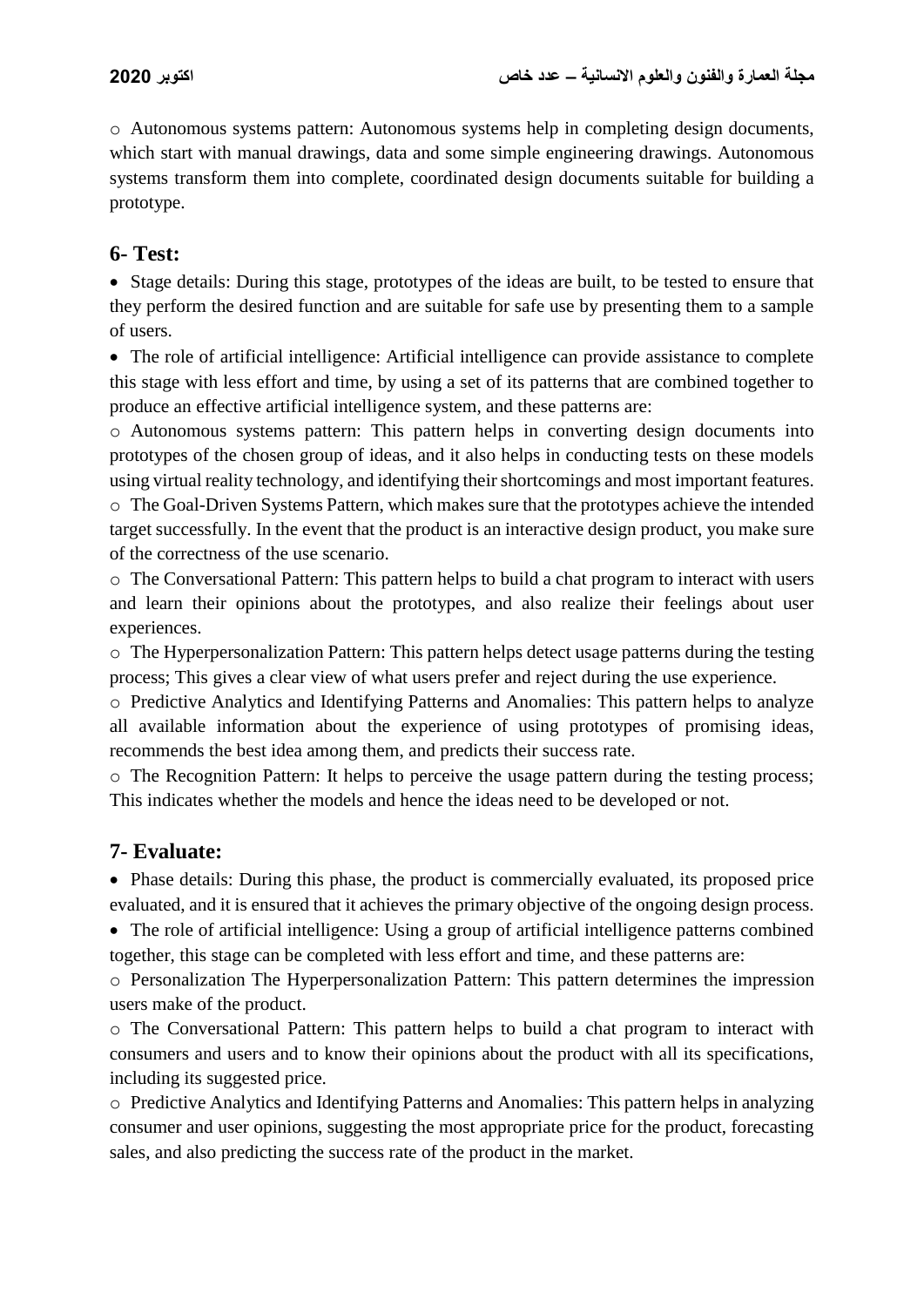o Autonomous systems pattern: Autonomous systems help in completing design documents, which start with manual drawings, data and some simple engineering drawings. Autonomous systems transform them into complete, coordinated design documents suitable for building a prototype.

# **6- Test:**

 Stage details: During this stage, prototypes of the ideas are built, to be tested to ensure that they perform the desired function and are suitable for safe use by presenting them to a sample of users.

 The role of artificial intelligence: Artificial intelligence can provide assistance to complete this stage with less effort and time, by using a set of its patterns that are combined together to produce an effective artificial intelligence system, and these patterns are:

o Autonomous systems pattern: This pattern helps in converting design documents into prototypes of the chosen group of ideas, and it also helps in conducting tests on these models using virtual reality technology, and identifying their shortcomings and most important features. o The Goal-Driven Systems Pattern, which makes sure that the prototypes achieve the intended

target successfully. In the event that the product is an interactive design product, you make sure of the correctness of the use scenario.

o The Conversational Pattern: This pattern helps to build a chat program to interact with users and learn their opinions about the prototypes, and also realize their feelings about user experiences.

o The Hyperpersonalization Pattern: This pattern helps detect usage patterns during the testing process; This gives a clear view of what users prefer and reject during the use experience.

o Predictive Analytics and Identifying Patterns and Anomalies: This pattern helps to analyze all available information about the experience of using prototypes of promising ideas, recommends the best idea among them, and predicts their success rate.

 $\circ$  The Recognition Pattern: It helps to perceive the usage pattern during the testing process; This indicates whether the models and hence the ideas need to be developed or not.

# **7- Evaluate:**

 Phase details: During this phase, the product is commercially evaluated, its proposed price evaluated, and it is ensured that it achieves the primary objective of the ongoing design process.

 The role of artificial intelligence: Using a group of artificial intelligence patterns combined together, this stage can be completed with less effort and time, and these patterns are:

o Personalization The Hyperpersonalization Pattern: This pattern determines the impression users make of the product.

o The Conversational Pattern: This pattern helps to build a chat program to interact with consumers and users and to know their opinions about the product with all its specifications, including its suggested price.

o Predictive Analytics and Identifying Patterns and Anomalies: This pattern helps in analyzing consumer and user opinions, suggesting the most appropriate price for the product, forecasting sales, and also predicting the success rate of the product in the market.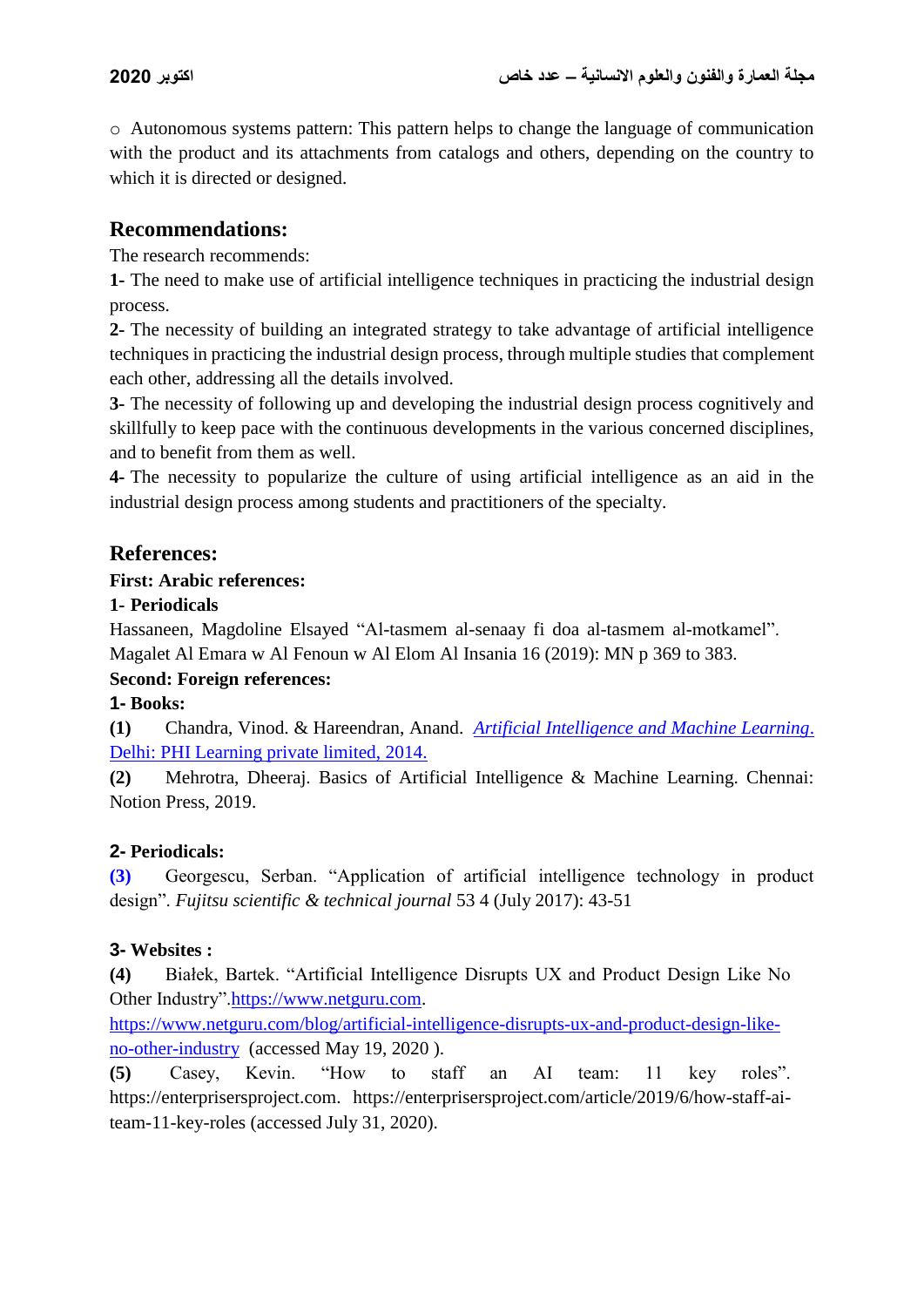o Autonomous systems pattern: This pattern helps to change the language of communication with the product and its attachments from catalogs and others, depending on the country to which it is directed or designed.

# **Recommendations:**

The research recommends:

**1-** The need to make use of artificial intelligence techniques in practicing the industrial design process.

**2-** The necessity of building an integrated strategy to take advantage of artificial intelligence techniques in practicing the industrial design process, through multiple studies that complement each other, addressing all the details involved.

**3-** The necessity of following up and developing the industrial design process cognitively and skillfully to keep pace with the continuous developments in the various concerned disciplines, and to benefit from them as well.

**4-** The necessity to popularize the culture of using artificial intelligence as an aid in the industrial design process among students and practitioners of the specialty.

### **References:**

#### **First: Arabic references:**

#### **1- Periodicals**

Hassaneen, Magdoline Elsayed "Al-tasmem al-senaay fi doa al-tasmem al-motkamel". Magalet Al Emara w Al Fenoun w Al Elom Al Insania 16 (2019): MN p 369 to 383.

#### **Second: Foreign references:**

#### **1- Books:**

**(1)** Chandra, Vinod. & Hareendran, Anand. *[Artificial Intelligence and Machine Learning](https://www.amazon.com/dp/B00LPGBV60/ref=rdr_kindle_ext_tmb)*. [Delhi: PHI Learning private limited, 2014.](https://www.amazon.com/dp/B00LPGBV60/ref=rdr_kindle_ext_tmb) 

**(2)** Mehrotra, [Dheeraj. Basics of Artificial Intelligence & Machine Learning. Chennai:](https://www.amazon.com/Dr-Dheeraj-Mehrotra/e/B0725GRR71/ref=dp_byline_cont_book_1)  [Notion Press, 2019.](https://www.amazon.com/Dr-Dheeraj-Mehrotra/e/B0725GRR71/ref=dp_byline_cont_book_1)

#### **2- Periodicals:**

**(3)** Georgescu, Serban. "Application of artificial intelligence technology in product design". *Fujitsu scientific & technical journal* 53 4 (July 2017): 43-51

#### **3- Websites :**

**(4)** Białek, Bartek. "Artificial Intelligence Disrupts UX and Product Design Like No Other Industry"[.https://www.netguru.com.](https://www.netguru.com/blog/artificial-intelligence-disrupts-ux-and-product-design-like-no-other-industry)

[https://www.netguru.com/blog/artificial-intelligence-disrupts-ux-and-product-design-like](https://www.netguru.com/blog/artificial-intelligence-disrupts-ux-and-product-design-like-no-other-industry)[no-other-industry](https://www.netguru.com/blog/artificial-intelligence-disrupts-ux-and-product-design-like-no-other-industry) (accessed May 19, 2020 ).

**(5)** Casey, Kevin. "How to staff an AI team: 11 key roles". [https://enterprisersproject.com.](https://enterprisersproject.com/article/2019/6/how-staff-ai-team-11-key-roles) [https://enterprisersproject.com/article/2019/6/how-staff-ai](https://enterprisersproject.com/article/2019/6/how-staff-ai-team-11-key-roles)[team-11-key-roles](https://enterprisersproject.com/article/2019/6/how-staff-ai-team-11-key-roles) (accessed July 31, 2020).